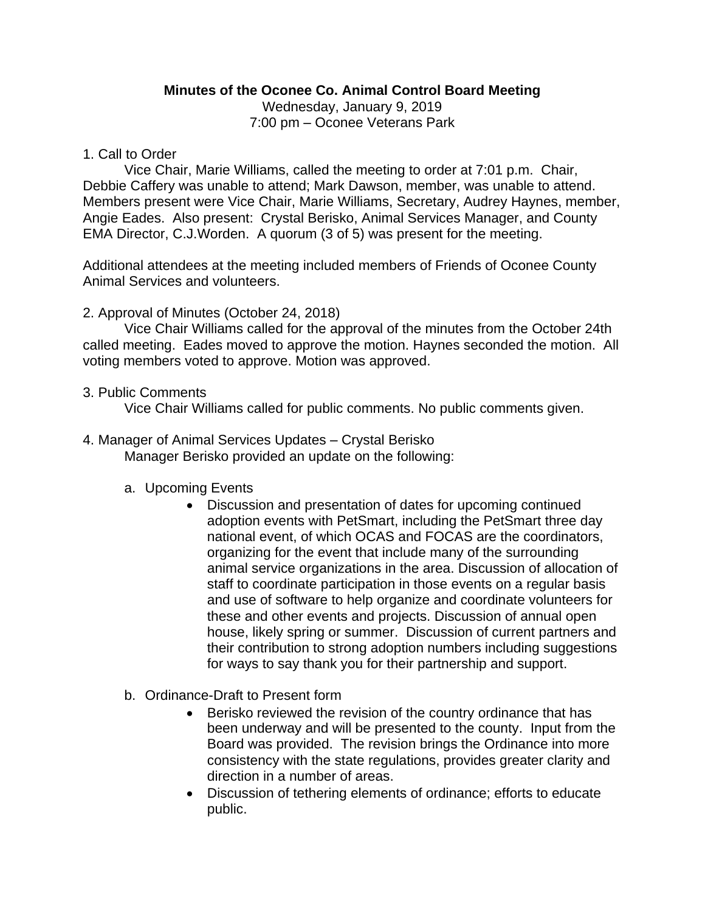# **Minutes of the Oconee Co. Animal Control Board Meeting**

Wednesday, January 9, 2019 7:00 pm – Oconee Veterans Park

#### 1. Call to Order

Vice Chair, Marie Williams, called the meeting to order at 7:01 p.m. Chair, Debbie Caffery was unable to attend; Mark Dawson, member, was unable to attend. Members present were Vice Chair, Marie Williams, Secretary, Audrey Haynes, member, Angie Eades. Also present: Crystal Berisko, Animal Services Manager, and County EMA Director, C.J.Worden. A quorum (3 of 5) was present for the meeting.

Additional attendees at the meeting included members of Friends of Oconee County Animal Services and volunteers.

## 2. Approval of Minutes (October 24, 2018)

Vice Chair Williams called for the approval of the minutes from the October 24th called meeting. Eades moved to approve the motion. Haynes seconded the motion. All voting members voted to approve. Motion was approved.

#### 3. Public Comments

Vice Chair Williams called for public comments. No public comments given.

4. Manager of Animal Services Updates – Crystal Berisko Manager Berisko provided an update on the following:

## a. Upcoming Events

- Discussion and presentation of dates for upcoming continued adoption events with PetSmart, including the PetSmart three day national event, of which OCAS and FOCAS are the coordinators, organizing for the event that include many of the surrounding animal service organizations in the area. Discussion of allocation of staff to coordinate participation in those events on a regular basis and use of software to help organize and coordinate volunteers for these and other events and projects. Discussion of annual open house, likely spring or summer. Discussion of current partners and their contribution to strong adoption numbers including suggestions for ways to say thank you for their partnership and support.
- b. Ordinance-Draft to Present form
	- Berisko reviewed the revision of the country ordinance that has been underway and will be presented to the county. Input from the Board was provided. The revision brings the Ordinance into more consistency with the state regulations, provides greater clarity and direction in a number of areas.
	- Discussion of tethering elements of ordinance; efforts to educate public.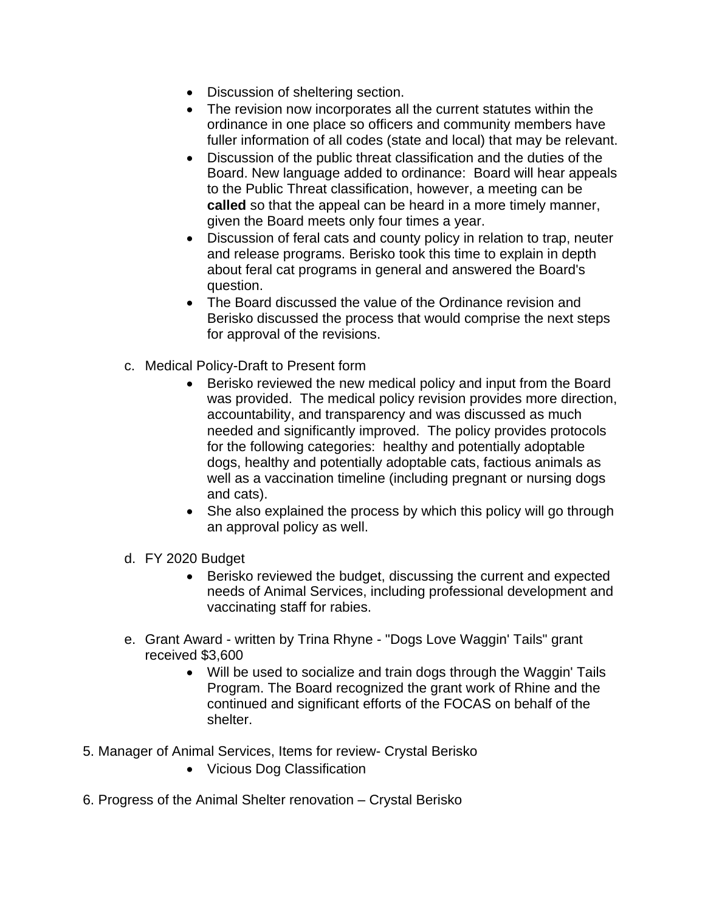- Discussion of sheltering section.
- The revision now incorporates all the current statutes within the ordinance in one place so officers and community members have fuller information of all codes (state and local) that may be relevant.
- Discussion of the public threat classification and the duties of the Board. New language added to ordinance: Board will hear appeals to the Public Threat classification, however, a meeting can be **called** so that the appeal can be heard in a more timely manner, given the Board meets only four times a year.
- Discussion of feral cats and county policy in relation to trap, neuter and release programs. Berisko took this time to explain in depth about feral cat programs in general and answered the Board's question.
- The Board discussed the value of the Ordinance revision and Berisko discussed the process that would comprise the next steps for approval of the revisions.
- c. Medical Policy-Draft to Present form
	- Berisko reviewed the new medical policy and input from the Board was provided. The medical policy revision provides more direction, accountability, and transparency and was discussed as much needed and significantly improved. The policy provides protocols for the following categories: healthy and potentially adoptable dogs, healthy and potentially adoptable cats, factious animals as well as a vaccination timeline (including pregnant or nursing dogs and cats).
	- She also explained the process by which this policy will go through an approval policy as well.
- d. FY 2020 Budget
	- Berisko reviewed the budget, discussing the current and expected needs of Animal Services, including professional development and vaccinating staff for rabies.
- e. Grant Award written by Trina Rhyne "Dogs Love Waggin' Tails" grant received \$3,600
	- Will be used to socialize and train dogs through the Waggin' Tails Program. The Board recognized the grant work of Rhine and the continued and significant efforts of the FOCAS on behalf of the shelter.
- 5. Manager of Animal Services, Items for review- Crystal Berisko
	- Vicious Dog Classification
- 6. Progress of the Animal Shelter renovation Crystal Berisko